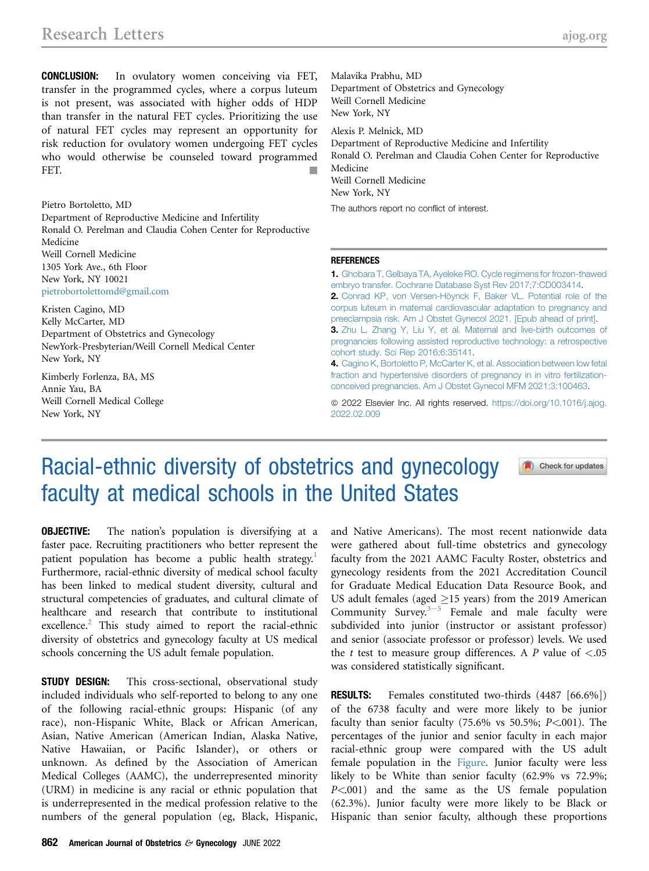CONCLUSION: In ovulatory women conceiving via FET, transfer in the programmed cycles, where a corpus luteum is not present, was associated with higher odds of HDP than transfer in the natural FET cycles. Prioritizing the use of natural FET cycles may represent an opportunity for risk reduction for ovulatory women undergoing FET cycles who would otherwise be counseled toward programmed FET.

Pietro Bortoletto, MD Department of Reproductive Medicine and Infertility Ronald O. Perelman and Claudia Cohen Center for Reproductive Medicine Weill Cornell Medicine 1305 York Ave., 6th Floor New York, NY 10021 [pietrobortolettomd@gmail.com](mailto:pietrobortolettomd@gmail.com)

Kristen Cagino, MD Kelly McCarter, MD Department of Obstetrics and Gynecology NewYork-Presbyterian/Weill Cornell Medical Center New York, NY

Kimberly Forlenza, BA, MS Annie Yau, BA Weill Cornell Medical College New York, NY

Malavika Prabhu, MD Department of Obstetrics and Gynecology Weill Cornell Medicine New York, NY

Alexis P. Melnick, MD

Department of Reproductive Medicine and Infertility Ronald O. Perelman and Claudia Cohen Center for Reproductive Medicine Weill Cornell Medicine New York, NY

The authors report no conflict of interest.

## REFERENCES

1. [Ghobara T, Gelbaya TA, Ayeleke RO. Cycle regimens for frozen-thawed](http://refhub.elsevier.com/S0002-9378(22)00106-5/sref1) [embryo transfer. Cochrane Database Syst Rev 2017;7:CD003414](http://refhub.elsevier.com/S0002-9378(22)00106-5/sref1). 2. [Conrad KP, von Versen-Höynck F, Baker VL. Potential role of the](http://refhub.elsevier.com/S0002-9378(22)00106-5/sref2) [corpus luteum in maternal cardiovascular adaptation to pregnancy and](http://refhub.elsevier.com/S0002-9378(22)00106-5/sref2) [preeclampsia risk. Am J Obstet Gynecol 2021. \[Epub ahead of print\].](http://refhub.elsevier.com/S0002-9378(22)00106-5/sref2) 3. [Zhu L, Zhang Y, Liu Y, et al. Maternal and live-birth outcomes of](http://refhub.elsevier.com/S0002-9378(22)00106-5/sref3) [pregnancies following assisted reproductive technology: a retrospective](http://refhub.elsevier.com/S0002-9378(22)00106-5/sref3) [cohort study. Sci Rep 2016;6:35141](http://refhub.elsevier.com/S0002-9378(22)00106-5/sref3).

4. [Cagino K, Bortoletto P, McCarter K, et al. Association between low fetal](http://refhub.elsevier.com/S0002-9378(22)00106-5/sref4) [fraction and hypertensive disorders of pregnancy in in vitro fertilization](http://refhub.elsevier.com/S0002-9378(22)00106-5/sref4)[conceived pregnancies. Am J Obstet Gynecol MFM 2021;3:100463.](http://refhub.elsevier.com/S0002-9378(22)00106-5/sref4)

© 2022 Elsevier Inc. All rights reserved. [https://doi.org/10.1016/j.ajog.](https://doi.org/10.1016/j.ajog.2022.02.009) [2022.02.009](https://doi.org/10.1016/j.ajog.2022.02.009)

## Racial-ethnic diversity of obstetrics and gynecology faculty at medical schools in the United States

Check for updates

**OBJECTIVE:** The nation's population is diversifying at a faster pace. Recruiting practitioners who better represent the patient population has become a public health strategy.<sup>1</sup> Furthermore, racial-ethnic diversity of medical school faculty has been linked to medical student diversity, cultural and structural competencies of graduates, and cultural climate of healthcare and research that contribute to institutional excellence.<sup>2</sup> This study aimed to report the racial-ethnic diversity of obstetrics and gynecology faculty at US medical schools concerning the US adult female population.

**STUDY DESIGN:** This cross-sectional, observational study included individuals who self-reported to belong to any one of the following racial-ethnic groups: Hispanic (of any race), non-Hispanic White, Black or African American, Asian, Native American (American Indian, Alaska Native, Native Hawaiian, or Pacific Islander), or others or unknown. As defined by the Association of American Medical Colleges (AAMC), the underrepresented minority (URM) in medicine is any racial or ethnic population that is underrepresented in the medical profession relative to the numbers of the general population (eg, Black, Hispanic, and Native Americans). The most recent nationwide data were gathered about full-time obstetrics and gynecology faculty from the 2021 AAMC Faculty Roster, obstetrics and gynecology residents from the 2021 Accreditation Council for Graduate Medical Education Data Resource Book, and US adult females (aged  $\geq$ 15 years) from the 2019 American Community Surv[e](#page-2-2)y. $3-5$  Female and male faculty were subdivided into junior (instructor or assistant professor) and senior (associate professor or professor) levels. We used the  $t$  test to measure group differences. A  $P$  value of  $\lt$ .05 was considered statistically significant.

RESULTS: Females constituted two-thirds (4487 [66.6%]) of the 6738 faculty and were more likely to be junior faculty than senior faculty (75.6% vs 50.5%;  $P<001$ ). The percentages of the junior and senior faculty in each major racial-ethnic group were compared with the US adult female population in the [Figure](#page-1-0). Junior faculty were less likely to be White than senior faculty (62.9% vs 72.9%; P<.001) and the same as the US female population (62.3%). Junior faculty were more likely to be Black or Hispanic than senior faculty, although these proportions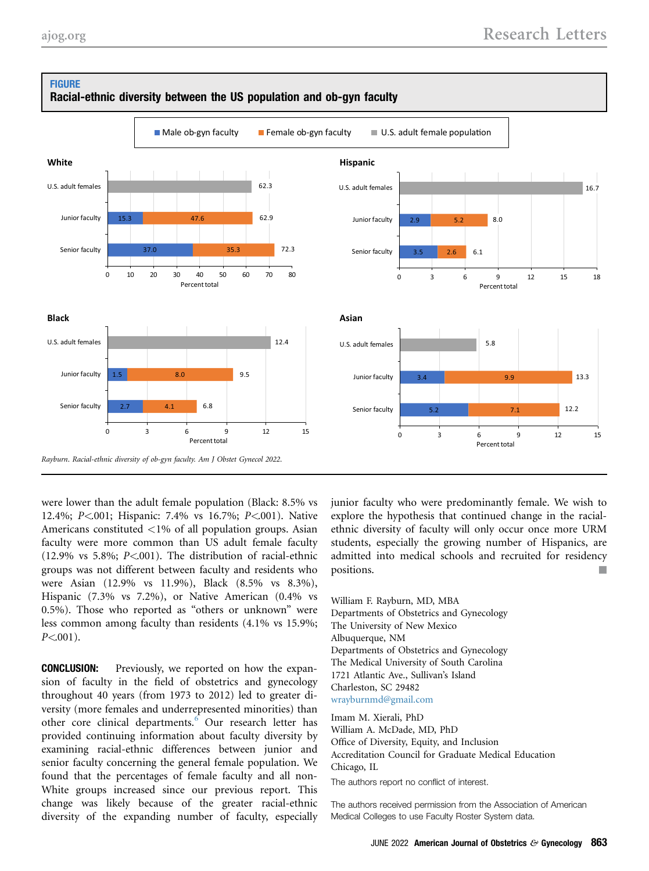<span id="page-1-0"></span>**FIGURE** 



Racial-ethnic diversity between the US population and ob-gyn faculty

were lower than the adult female population (Black: 8.5% vs 12.4%; P<.001; Hispanic: 7.4% vs 16.7%; P<.001). Native Americans constituted <1% of all population groups. Asian faculty were more common than US adult female faculty  $(12.9\% \text{ vs } 5.8\%; P<001)$ . The distribution of racial-ethnic groups was not different between faculty and residents who were Asian (12.9% vs 11.9%), Black (8.5% vs 8.3%), Hispanic (7.3% vs 7.2%), or Native American (0.4% vs 0.5%). Those who reported as "others or unknown" were less common among faculty than residents (4.1% vs 15.9%;  $P<.001$ ).

CONCLUSION: Previously, we reported on how the expansion of faculty in the field of obstetrics and gynecology throughout 40 years (from 1973 to 2012) led to greater diversity (more females and underrepresented minorities) than other core clinical departments.<sup>[6](#page-2-3)</sup> Our research letter has provided continuing information about faculty diversity by examining racial-ethnic differences between junior and senior faculty concerning the general female population. We found that the percentages of female faculty and all non-White groups increased since our previous report. This change was likely because of the greater racial-ethnic diversity of the expanding number of faculty, especially

junior faculty who were predominantly female. We wish to explore the hypothesis that continued change in the racialethnic diversity of faculty will only occur once more URM students, especially the growing number of Hispanics, are admitted into medical schools and recruited for residency positions.

William F. Rayburn, MD, MBA Departments of Obstetrics and Gynecology The University of New Mexico Albuquerque, NM Departments of Obstetrics and Gynecology The Medical University of South Carolina 1721 Atlantic Ave., Sullivan's Island Charleston, SC 29482 [wrayburnmd@gmail.com](mailto:wrayburnmd@gmail.com)

Imam M. Xierali, PhD William A. McDade, MD, PhD Office of Diversity, Equity, and Inclusion Accreditation Council for Graduate Medical Education Chicago, IL

The authors report no conflict of interest.

The authors received permission from the Association of American Medical Colleges to use Faculty Roster System data.